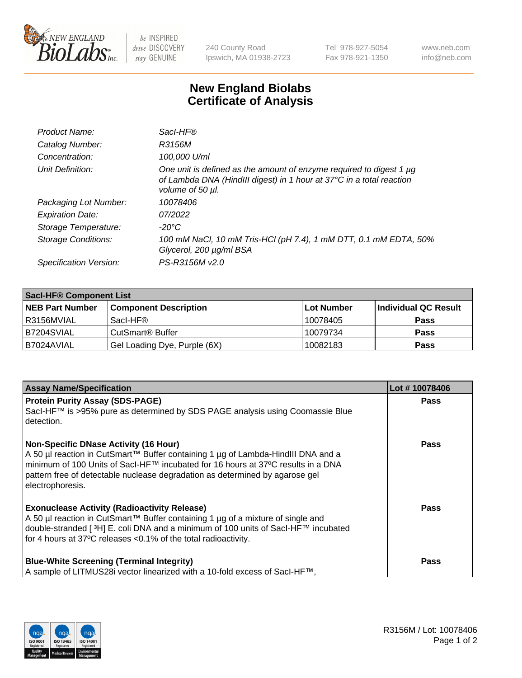

 $be$  INSPIRED drive DISCOVERY stay GENUINE

240 County Road Ipswich, MA 01938-2723 Tel 978-927-5054 Fax 978-921-1350 www.neb.com info@neb.com

## **New England Biolabs Certificate of Analysis**

| Product Name:           | Sacl-HF®                                                                                                                                                        |
|-------------------------|-----------------------------------------------------------------------------------------------------------------------------------------------------------------|
| Catalog Number:         | R3156M                                                                                                                                                          |
| Concentration:          | 100,000 U/ml                                                                                                                                                    |
| Unit Definition:        | One unit is defined as the amount of enzyme required to digest 1 µg<br>of Lambda DNA (HindIII digest) in 1 hour at 37°C in a total reaction<br>volume of 50 µl. |
| Packaging Lot Number:   | 10078406                                                                                                                                                        |
| <b>Expiration Date:</b> | 07/2022                                                                                                                                                         |
| Storage Temperature:    | -20°C                                                                                                                                                           |
| Storage Conditions:     | 100 mM NaCl, 10 mM Tris-HCl (pH 7.4), 1 mM DTT, 0.1 mM EDTA, 50%<br>Glycerol, 200 µg/ml BSA                                                                     |
| Specification Version:  | PS-R3156M v2.0                                                                                                                                                  |

| <b>Saci-HF® Component List</b> |                              |            |                      |  |  |
|--------------------------------|------------------------------|------------|----------------------|--|--|
| <b>NEB Part Number</b>         | <b>Component Description</b> | Lot Number | Individual QC Result |  |  |
| I R3156MVIAL                   | Sacl-HF®                     | 10078405   | <b>Pass</b>          |  |  |
| B7204SVIAL                     | CutSmart <sup>®</sup> Buffer | 10079734   | <b>Pass</b>          |  |  |
| I B7024AVIAL                   | Gel Loading Dye, Purple (6X) | 10082183   | <b>Pass</b>          |  |  |

| <b>Assay Name/Specification</b>                                                                                                                                                                                                                                                                                          | Lot #10078406 |
|--------------------------------------------------------------------------------------------------------------------------------------------------------------------------------------------------------------------------------------------------------------------------------------------------------------------------|---------------|
| <b>Protein Purity Assay (SDS-PAGE)</b><br>SacI-HF™ is >95% pure as determined by SDS PAGE analysis using Coomassie Blue<br>detection.                                                                                                                                                                                    | <b>Pass</b>   |
| <b>Non-Specific DNase Activity (16 Hour)</b><br>A 50 µl reaction in CutSmart™ Buffer containing 1 µg of Lambda-HindIII DNA and a<br>minimum of 100 Units of Sacl-HF™ incubated for 16 hours at 37°C results in a DNA<br>pattern free of detectable nuclease degradation as determined by agarose gel<br>electrophoresis. | <b>Pass</b>   |
| <b>Exonuclease Activity (Radioactivity Release)</b><br>A 50 µl reaction in CutSmart™ Buffer containing 1 µg of a mixture of single and<br>double-stranded [ <sup>3</sup> H] E. coli DNA and a minimum of 100 units of Sacl-HF™ incubated<br>for 4 hours at 37°C releases <0.1% of the total radioactivity.               | <b>Pass</b>   |
| <b>Blue-White Screening (Terminal Integrity)</b><br>A sample of LITMUS28i vector linearized with a 10-fold excess of SacI-HF™,                                                                                                                                                                                           | Pass          |